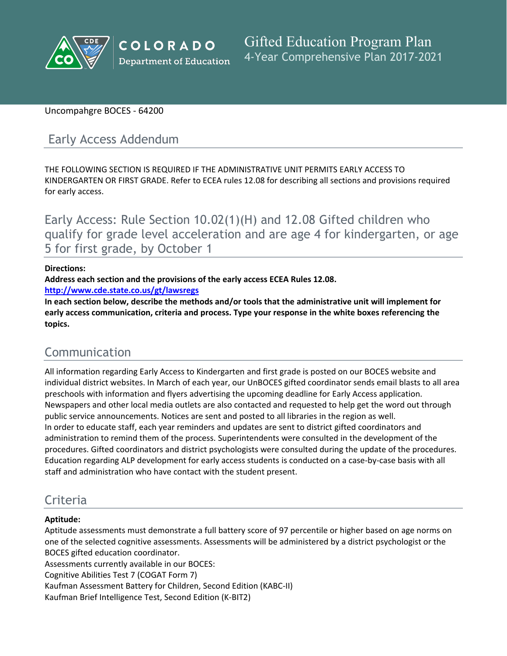

## Uncompahgre BOCES - 64200

# Early Access Addendum

THE FOLLOWING SECTION IS REQUIRED IF THE ADMINISTRATIVE UNIT PERMITS EARLY ACCESS TO KINDERGARTEN OR FIRST GRADE. Refer to ECEA rules 12.08 for describing all sections and provisions required for early access.

Early Access: Rule Section 10.02(1)(H) and 12.08 Gifted children who qualify for grade level acceleration and are age 4 for kindergarten, or age 5 for first grade, by October 1

### **Directions:**

**Address each section and the provisions of the early access ECEA Rules 12.08.**

**<http://www.cde.state.co.us/gt/lawsregs>**

**In each section below, describe the methods and/or tools that the administrative unit will implement for early access communication, criteria and process. Type your response in the white boxes referencing the topics.**

# Communication

All information regarding Early Access to Kindergarten and first grade is posted on our BOCES website and individual district websites. In March of each year, our UnBOCES gifted coordinator sends email blasts to all area preschools with information and flyers advertising the upcoming deadline for Early Access application. Newspapers and other local media outlets are also contacted and requested to help get the word out through public service announcements. Notices are sent and posted to all libraries in the region as well. In order to educate staff, each year reminders and updates are sent to district gifted coordinators and administration to remind them of the process. Superintendents were consulted in the development of the procedures. Gifted coordinators and district psychologists were consulted during the update of the procedures. Education regarding ALP development for early access students is conducted on a case-by-case basis with all staff and administration who have contact with the student present.

# Criteria

## **Aptitude:**

Aptitude assessments must demonstrate a full battery score of 97 percentile or higher based on age norms on one of the selected cognitive assessments. Assessments will be administered by a district psychologist or the BOCES gifted education coordinator.

Assessments currently available in our BOCES:

Cognitive Abilities Test 7 (COGAT Form 7)

Kaufman Assessment Battery for Children, Second Edition (KABC-II)

Kaufman Brief Intelligence Test, Second Edition (K-BIT2)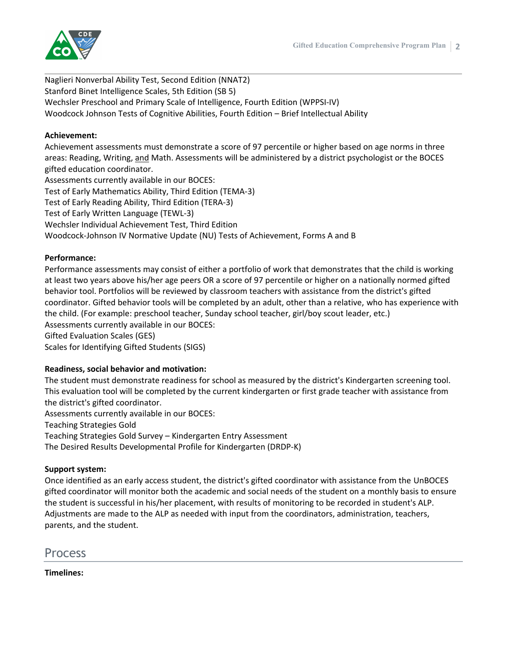

Naglieri Nonverbal Ability Test, Second Edition (NNAT2) Stanford Binet Intelligence Scales, 5th Edition (SB 5) Wechsler Preschool and Primary Scale of Intelligence, Fourth Edition (WPPSI-IV) Woodcock Johnson Tests of Cognitive Abilities, Fourth Edition – Brief Intellectual Ability

### **Achievement:**

Achievement assessments must demonstrate a score of 97 percentile or higher based on age norms in three areas: Reading, Writing, and Math. Assessments will be administered by a district psychologist or the BOCES gifted education coordinator.

Assessments currently available in our BOCES:

Test of Early Mathematics Ability, Third Edition (TEMA-3)

Test of Early Reading Ability, Third Edition (TERA-3)

Test of Early Written Language (TEWL-3)

Wechsler Individual Achievement Test, Third Edition

Woodcock-Johnson IV Normative Update (NU) Tests of Achievement, Forms A and B

#### **Performance:**

Performance assessments may consist of either a portfolio of work that demonstrates that the child is working at least two years above his/her age peers OR a score of 97 percentile or higher on a nationally normed gifted behavior tool. Portfolios will be reviewed by classroom teachers with assistance from the district's gifted coordinator. Gifted behavior tools will be completed by an adult, other than a relative, who has experience with the child. (For example: preschool teacher, Sunday school teacher, girl/boy scout leader, etc.) Assessments currently available in our BOCES:

Gifted Evaluation Scales (GES)

Scales for Identifying Gifted Students (SIGS)

## **Readiness, social behavior and motivation:**

The student must demonstrate readiness for school as measured by the district's Kindergarten screening tool. This evaluation tool will be completed by the current kindergarten or first grade teacher with assistance from the district's gifted coordinator.

Assessments currently available in our BOCES:

Teaching Strategies Gold

Teaching Strategies Gold Survey – Kindergarten Entry Assessment

The Desired Results Developmental Profile for Kindergarten (DRDP-K)

## **Support system:**

Once identified as an early access student, the district's gifted coordinator with assistance from the UnBOCES gifted coordinator will monitor both the academic and social needs of the student on a monthly basis to ensure the student is successful in his/her placement, with results of monitoring to be recorded in student's ALP. Adjustments are made to the ALP as needed with input from the coordinators, administration, teachers, parents, and the student.

Process

**Timelines:**